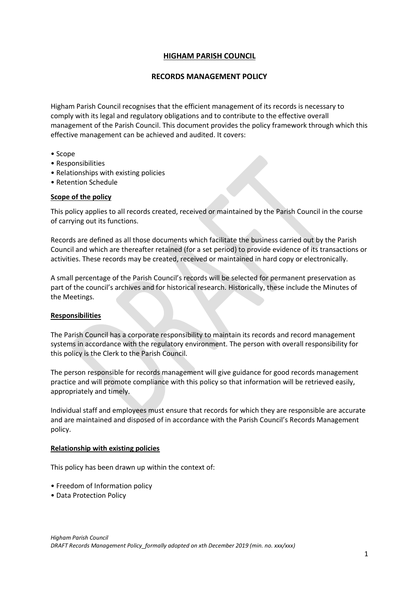# **HIGHAM PARISH COUNCIL**

## **RECORDS MANAGEMENT POLICY**

Higham Parish Council recognises that the efficient management of its records is necessary to comply with its legal and regulatory obligations and to contribute to the effective overall management of the Parish Council. This document provides the policy framework through which this effective management can be achieved and audited. It covers:

- Scope
- Responsibilities
- Relationships with existing policies
- Retention Schedule

### **Scope of the policy**

This policy applies to all records created, received or maintained by the Parish Council in the course of carrying out its functions.

Records are defined as all those documents which facilitate the business carried out by the Parish Council and which are thereafter retained (for a set period) to provide evidence of its transactions or activities. These records may be created, received or maintained in hard copy or electronically.

A small percentage of the Parish Council's records will be selected for permanent preservation as part of the council's archives and for historical research. Historically, these include the Minutes of the Meetings.

### **Responsibilities**

The Parish Council has a corporate responsibility to maintain its records and record management systems in accordance with the regulatory environment. The person with overall responsibility for this policy is the Clerk to the Parish Council.

The person responsible for records management will give guidance for good records management practice and will promote compliance with this policy so that information will be retrieved easily, appropriately and timely.

Individual staff and employees must ensure that records for which they are responsible are accurate and are maintained and disposed of in accordance with the Parish Council's Records Management policy.

#### **Relationship with existing policies**

This policy has been drawn up within the context of:

- Freedom of Information policy
- Data Protection Policy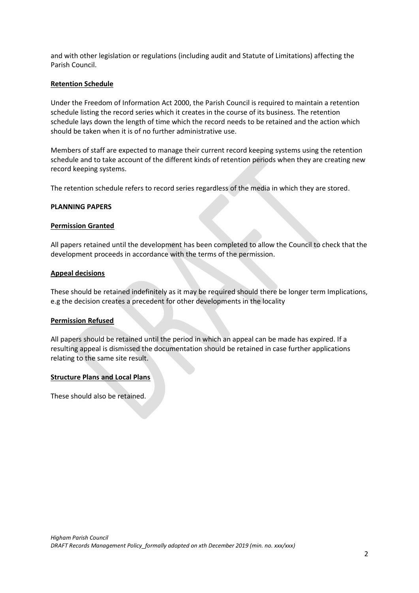and with other legislation or regulations (including audit and Statute of Limitations) affecting the Parish Council.

### **Retention Schedule**

Under the Freedom of Information Act 2000, the Parish Council is required to maintain a retention schedule listing the record series which it creates in the course of its business. The retention schedule lays down the length of time which the record needs to be retained and the action which should be taken when it is of no further administrative use.

Members of staff are expected to manage their current record keeping systems using the retention schedule and to take account of the different kinds of retention periods when they are creating new record keeping systems.

The retention schedule refers to record series regardless of the media in which they are stored.

### **PLANNING PAPERS**

### **Permission Granted**

All papers retained until the development has been completed to allow the Council to check that the development proceeds in accordance with the terms of the permission.

### **Appeal decisions**

These should be retained indefinitely as it may be required should there be longer term Implications, e.g the decision creates a precedent for other developments in the locality

### **Permission Refused**

All papers should be retained until the period in which an appeal can be made has expired. If a resulting appeal is dismissed the documentation should be retained in case further applications relating to the same site result.

### **Structure Plans and Local Plans**

These should also be retained.